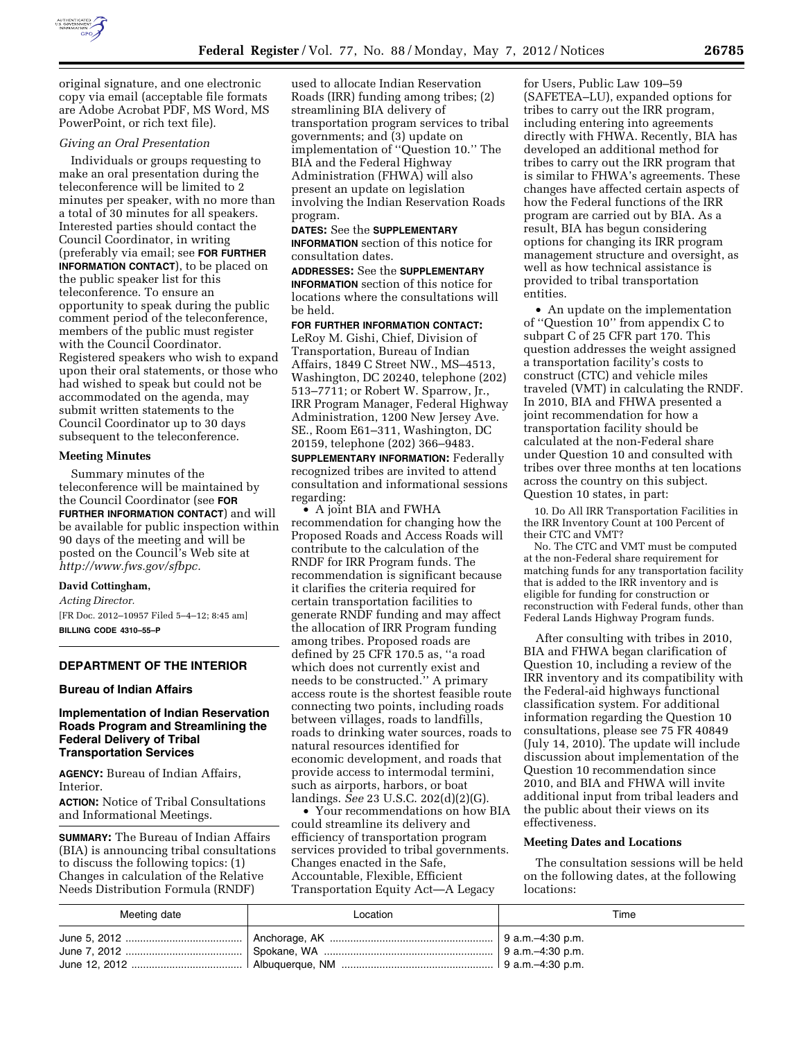

original signature, and one electronic copy via email (acceptable file formats are Adobe Acrobat PDF, MS Word, MS PowerPoint, or rich text file).

### *Giving an Oral Presentation*

Individuals or groups requesting to make an oral presentation during the teleconference will be limited to 2 minutes per speaker, with no more than a total of 30 minutes for all speakers. Interested parties should contact the Council Coordinator, in writing (preferably via email; see **FOR FURTHER INFORMATION CONTACT**), to be placed on the public speaker list for this teleconference. To ensure an opportunity to speak during the public comment period of the teleconference, members of the public must register with the Council Coordinator. Registered speakers who wish to expand upon their oral statements, or those who had wished to speak but could not be accommodated on the agenda, may submit written statements to the Council Coordinator up to 30 days subsequent to the teleconference.

#### **Meeting Minutes**

Summary minutes of the teleconference will be maintained by the Council Coordinator (see **FOR FURTHER INFORMATION CONTACT**) and will be available for public inspection within 90 days of the meeting and will be posted on the Council's Web site at *[http://www.fws.gov/sfbpc.](http://www.fws.gov/sfbpc)* 

#### **David Cottingham,**

*Acting Director.* 

[FR Doc. 2012–10957 Filed 5–4–12; 8:45 am] **BILLING CODE 4310–55–P** 

## **DEPARTMENT OF THE INTERIOR**

#### **Bureau of Indian Affairs**

### **Implementation of Indian Reservation Roads Program and Streamlining the Federal Delivery of Tribal Transportation Services**

**AGENCY:** Bureau of Indian Affairs, Interior.

**ACTION:** Notice of Tribal Consultations and Informational Meetings.

**SUMMARY:** The Bureau of Indian Affairs (BIA) is announcing tribal consultations to discuss the following topics: (1) Changes in calculation of the Relative Needs Distribution Formula (RNDF)

used to allocate Indian Reservation Roads (IRR) funding among tribes; (2) streamlining BIA delivery of transportation program services to tribal governments; and (3) update on implementation of ''Question 10.'' The BIA and the Federal Highway Administration (FHWA) will also present an update on legislation involving the Indian Reservation Roads program.

### **DATES:** See the **SUPPLEMENTARY INFORMATION** section of this notice for consultation dates.

**ADDRESSES:** See the **SUPPLEMENTARY INFORMATION** section of this notice for locations where the consultations will be held.

**FOR FURTHER INFORMATION CONTACT:**  LeRoy M. Gishi, Chief, Division of Transportation, Bureau of Indian Affairs, 1849 C Street NW., MS–4513, Washington, DC 20240, telephone (202) 513–7711; or Robert W. Sparrow, Jr., IRR Program Manager, Federal Highway Administration, 1200 New Jersey Ave. SE., Room E61–311, Washington, DC 20159, telephone (202) 366–9483.

**SUPPLEMENTARY INFORMATION:** Federally recognized tribes are invited to attend consultation and informational sessions regarding:

• A joint BIA and FWHA recommendation for changing how the Proposed Roads and Access Roads will contribute to the calculation of the RNDF for IRR Program funds. The recommendation is significant because it clarifies the criteria required for certain transportation facilities to generate RNDF funding and may affect the allocation of IRR Program funding among tribes. Proposed roads are defined by 25 CFR 170.5 as, ''a road which does not currently exist and needs to be constructed.'' A primary access route is the shortest feasible route connecting two points, including roads between villages, roads to landfills, roads to drinking water sources, roads to natural resources identified for economic development, and roads that provide access to intermodal termini, such as airports, harbors, or boat landings. *See* 23 U.S.C. 202(d)(2)(G).

• Your recommendations on how BIA could streamline its delivery and efficiency of transportation program services provided to tribal governments. Changes enacted in the Safe, Accountable, Flexible, Efficient Transportation Equity Act—A Legacy

for Users, Public Law 109–59 (SAFETEA–LU), expanded options for tribes to carry out the IRR program, including entering into agreements directly with FHWA. Recently, BIA has developed an additional method for tribes to carry out the IRR program that is similar to FHWA's agreements. These changes have affected certain aspects of how the Federal functions of the IRR program are carried out by BIA. As a result, BIA has begun considering options for changing its IRR program management structure and oversight, as well as how technical assistance is provided to tribal transportation entities.

• An update on the implementation of ''Question 10'' from appendix C to subpart C of 25 CFR part 170. This question addresses the weight assigned a transportation facility's costs to construct (CTC) and vehicle miles traveled (VMT) in calculating the RNDF. In 2010, BIA and FHWA presented a joint recommendation for how a transportation facility should be calculated at the non-Federal share under Question 10 and consulted with tribes over three months at ten locations across the country on this subject. Question 10 states, in part:

10. Do All IRR Transportation Facilities in the IRR Inventory Count at 100 Percent of their CTC and VMT?

No. The CTC and VMT must be computed at the non-Federal share requirement for matching funds for any transportation facility that is added to the IRR inventory and is eligible for funding for construction or reconstruction with Federal funds, other than Federal Lands Highway Program funds.

After consulting with tribes in 2010, BIA and FHWA began clarification of Question 10, including a review of the IRR inventory and its compatibility with the Federal-aid highways functional classification system. For additional information regarding the Question 10 consultations, please see 75 FR 40849 (July 14, 2010). The update will include discussion about implementation of the Question 10 recommendation since 2010, and BIA and FHWA will invite additional input from tribal leaders and the public about their views on its effectiveness.

### **Meeting Dates and Locations**

The consultation sessions will be held on the following dates, at the following locations:

| Meeting date | Location | Time |
|--------------|----------|------|
|              |          |      |
|              |          |      |